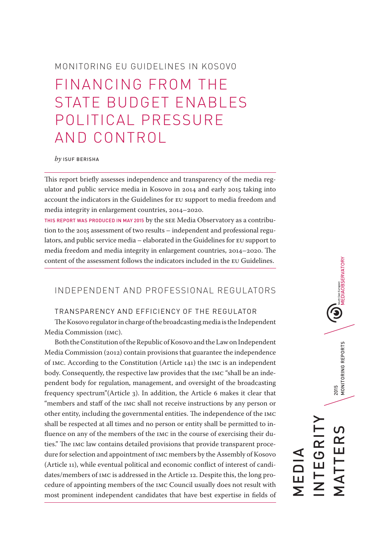# MONITORING EU GUIDELINES IN KOSOVO

# FINANCING FROM THE STATE BUDGET ENABLES POLITICAL PRESSURE AND CONTROL

#### *by* ISUF BERISHA

This report briefly assesses independence and transparency of the media regulator and public service media in Kosovo in 2014 and early 2015 taking into account the indicators in the Guidelines for EU support to media freedom and media integrity in enlargement countries, 2014–2020.

THIS REPORT WAS PRODUCED IN MAY 2015 by the SEE Media Observatory as a contribution to the 2015 assessment of two results – independent and professional regulators, and public service media – elaborated in the Guidelines for EU support to media freedom and media integrity in enlargement countries, 2014–2020. The content of the assessment follows the indicators included in the EU Guidelines.

# INDEPENDENT AND PROFESSIONAL REGULATORS

### TRANSPARENCY AND EFFICIENCY OF THE REGULATOR

The Kosovo regulator in charge of the broadcasting media is the Independent Media Commission (IMC).

Both the Constitution of the Republic of Kosovo and the Law on Independent Media Commission (2012) contain provisions that guarantee the independence of IMC. According to the Constitution (Article 141) the IMC is an independent body. Consequently, the respective law provides that the IMC "shall be an independent body for regulation, management, and oversight of the broadcasting frequency spectrum"(Article 3). In addition, the Article 6 makes it clear that "members and staff of the IMC shall not receive instructions by any person or other entity, including the governmental entities. The independence of the IMC shall be respected at all times and no person or entity shall be permitted to influence on any of the members of the IMC in the course of exercising their duties." The IMC law contains detailed provisions that provide transparent procedure for selection and appointment of IMC members by the Assembly of Kosovo (Article 11), while eventual political and economic conflict of interest of candidates/members of IMC is addressed in the Article 12. Despite this, the long procedure of appointing members of the IMC Council usually does not result with most prominent independent candidates that have best expertise in fields of

 $\bigcirc$   $\bigcirc$  MEDIAOBSERVATORY 2015<br>MONITORING REPORTS MATTERS 2015 MONITORING REPORTS INTEGRITY  $\Omega$ EGRI TTER MEDIA  $\frac{\mathsf{L}}{\mathsf{Z}}$ .<br>Σ<br>Σ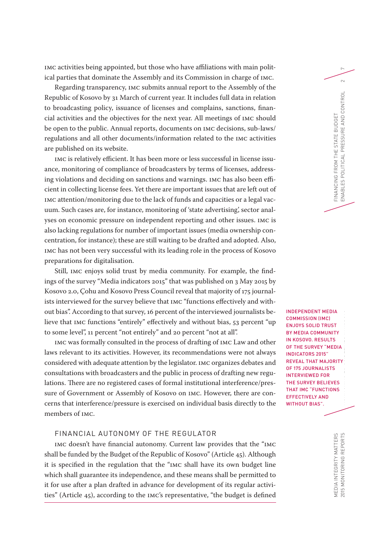IMC activities being appointed, but those who have affiliations with main political parties that dominate the Assembly and its Commission in charge of IMC.

Regarding transparency, IMC submits annual report to the Assembly of the Republic of Kosovo by 31 March of current year. It includes full data in relation to broadcasting policy, issuance of licenses and complains, sanctions, financial activities and the objectives for the next year. All meetings of IMC should be open to the public. Annual reports, documents on IMC decisions, sub-laws/ regulations and all other documents/information related to the IMC activities are published on its website.

IMC is relatively efficient. It has been more or less successful in license issuance, monitoring of compliance of broadcasters by terms of licenses, addressing violations and deciding on sanctions and warnings. IMC has also been efficient in collecting license fees. Yet there are important issues that are left out of IMC attention/monitoring due to the lack of funds and capacities or a legal vacuum. Such cases are, for instance, monitoring of 'state advertising', sector analyses on economic pressure on independent reporting and other issues. IMC is also lacking regulations for number of important issues (media ownership concentration, for instance); these are still waiting to be drafted and adopted. Also, IMC has not been very successful with its leading role in the process of Kosovo preparations for digitalisation.

Still, IMC enjoys solid trust by media community. For example, the findings of the survey "Media indicators 2015" that was published on 3 May 2015 by Kosovo 2.0, Çohu and Kosovo Press Council reveal that majority of 175 journalists interviewed for the survey believe that IMC "functions effectively and without bias". According to that survey, 16 percent of the interviewed journalists believe that IMC functions "entirely" effectively and without bias, 53 percent "up to some level", 11 percent "not entirely" and 20 percent "not at all".

IMC was formally consulted in the process of drafting of IMC Law and other laws relevant to its activities. However, its recommendations were not always considered with adequate attention by the legislator. IMC organizes debates and consultations with broadcasters and the public in process of drafting new regulations. There are no registered cases of formal institutional interference/pressure of Government or Assembly of Kosovo on IMC. However, there are concerns that interference/pressure is exercised on individual basis directly to the members of IMC.

# FINANCIAL AUTONOMY OF THE REGULATOR

IMC doesn't have financial autonomy. Current law provides that the "IMC shall be funded by the Budget of the Republic of Kosovo" (Article 45). Although it is specified in the regulation that the "IMC shall have its own budget line which shall guarantee its independence, and these means shall be permitted to it for use after a plan drafted in advance for development of its regular activities" (Article 45), according to the IMC's representative, "the budget is defined

INDEPENDENT MEDIA COMMISSION (IMC) ENJOYS SOLID TRUST BY MEDIA COMMUNITY IN KOSOVO. RESULTS OF THE SURVEY "MEDIA INDICATORS 2015" REVEAL THAT MAJORITY OF 175 JOURNALISTS INTERVIEWED FOR THE SURVEY BELIEVES THAT IMC "FUNCTIONS EFFECTIVELY AND WITHOUT BIAS".

FINANCING FROM THE STATE BUDGET

FINANCING FROM THE STATE BUDGET

ENABLES POLITICAL PRESSURE AND CONTROL 2

ES POLITICAL PRESSURE AND CONTROL

ENABLE

 $\sim$ 

MEDIA INTEGRITY MATTERS

MEDIA INTEGRITY MATTERS<br>2015 MONITORING REPORTS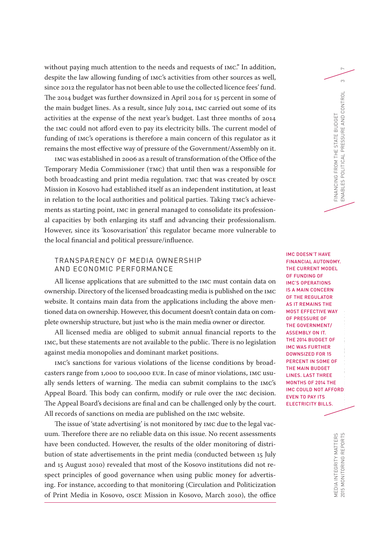without paying much attention to the needs and requests of IMC." In addition, despite the law allowing funding of IMC's activities from other sources as well, since 2012 the regulator has not been able to use the collected licence fees' fund. The 2014 budget was further downsized in April 2014 for 15 percent in some of the main budget lines. As a result, since July 2014, IMC carried out some of its activities at the expense of the next year's budget. Last three months of 2014 the IMC could not afford even to pay its electricity bills. The current model of funding of IMC's operations is therefore a main concern of this regulator as it remains the most effective way of pressure of the Government/Assembly on it.

IMC was established in 2006 as a result of transformation of the Office of the Temporary Media Commissioner (TMC) that until then was a responsible for both broadcasting and print media regulation. TMC that was created by OSCE Mission in Kosovo had established itself as an independent institution, at least in relation to the local authorities and political parties. Taking TMC's achievements as starting point, IMC in general managed to consolidate its professional capacities by both enlarging its staff and advancing their professionalism. However, since its 'kosovarisation' this regulator became more vulnerable to the local financial and political pressure/influence.

#### TRANSPARENCY OF MEDIA OWNERSHIP AND ECONOMIC PERFORMANCE

All license applications that are submitted to the IMC must contain data on ownership. Directory of the licensed broadcasting media is published on the IMC website. It contains main data from the applications including the above mentioned data on ownership. However, this document doesn't contain data on complete ownership structure, but just who is the main media owner or director.

All licensed media are obliged to submit annual financial reports to the IMC, but these statements are not available to the public. There is no legislation against media monopolies and dominant market positions.

IMC's sanctions for various violations of the license conditions by broadcasters range from 1,000 to 100,000 EUR. In case of minor violations, IMC usually sends letters of warning. The media can submit complains to the IMC's Appeal Board. This body can confirm, modify or rule over the IMC decision. The Appeal Board's decisions are final and can be challenged only by the court. All records of sanctions on media are published on the IMC website.

The issue of 'state advertising' is not monitored by IMC due to the legal vacuum. Therefore there are no reliable data on this issue. No recent assessments have been conducted. However, the results of the older monitoring of distribution of state advertisements in the print media (conducted between 15 July and 15 August 2010) revealed that most of the Kosovo institutions did not respect principles of good governance when using public money for advertising. For instance, according to that monitoring (Circulation and Politicization of Print Media in Kosovo, OSCE Mission in Kosovo, March 2010), the office

IMC DOESN'T HAVE FINANCIAL AUTONOMY. THE CURRENT MODEL OF FUNDING OF IMC'S OPERATIONS IS A MAIN CONCERN OF THE REGULATOR AS IT REMAINS THE MOST EFFECTIVE WAY OF PRESSURE OF THE GOVERNMENT/ ASSEMBLY ON IT. THE 2014 BUDGET OF IMC WAS FURTHER DOWNSIZED FOR 15 PERCENT IN SOME OF THE MAIN BUDGET LINES. LAST THREE MONTHS OF 2014 THE IMC COULD NOT AFFORD EVEN TO PAY ITS ELECTRICITY BILLS.

FINANCING FROM THE STATE BUDGET

FINANCING FROM THE STATE BUDGET

ENABLES POLITICAL PRESSURE AND CONTROL 3

ES POLITICAL

ENABLE

PRESSURE AND CONTROL

 $\infty$ 

2015 MONITORING REPORTS  $\blacksquare$ MEDIA INTEGRITY MATTERS<br>2015 MONITORING REPORTS MEDIA INTEGRITY MATTERS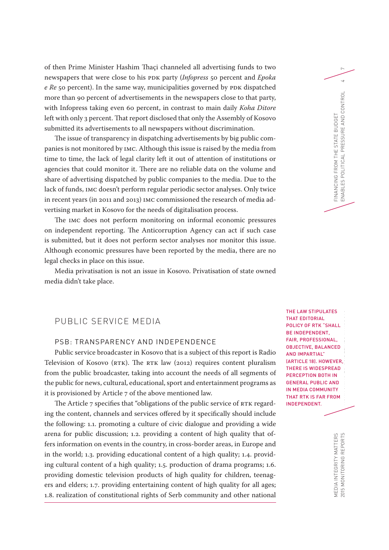of then Prime Minister Hashim Thaçi channeled all advertising funds to two <sup>7</sup> newspapers that were close to his PDK party (*Infopress* 50 percent and *Epoka e Re* 50 percent). In the same way, municipalities governed by PDK dispatched more than 90 percent of advertisements in the newspapers close to that party, with Infopress taking even 60 percent, in contrast to main daily *Koha Ditore* left with only 3 percent. That report disclosed that only the Assembly of Kosovo submitted its advertisements to all newspapers without discrimination.

The issue of transparency in dispatching advertisements by big public companies is not monitored by IMC. Although this issue is raised by the media from time to time, the lack of legal clarity left it out of attention of institutions or agencies that could monitor it. There are no reliable data on the volume and share of advertising dispatched by public companies to the media. Due to the lack of funds, IMC doesn't perform regular periodic sector analyses. Only twice in recent years (in 2011 and 2013) IMC commissioned the research of media advertising market in Kosovo for the needs of digitalisation process.

The IMC does not perform monitoring on informal economic pressures on independent reporting. The Anticorruption Agency can act if such case is submitted, but it does not perform sector analyses nor monitor this issue. Although economic pressures have been reported by the media, there are no legal checks in place on this issue.

Media privatisation is not an issue in Kosovo. Privatisation of state owned media didn't take place.

## PUBLIC SERVICE MEDIA

# PSB: TRANSPARENCY AND INDEPENDENCE

Public service broadcaster in Kosovo that is a subject of this report is Radio Television of Kosovo (RTK). The RTK law (2012) requires content pluralism from the public broadcaster, taking into account the needs of all segments of the public for news, cultural, educational, sport and entertainment programs as it is provisioned by Article 7 of the above mentioned law.

The Article 7 specifies that "obligations of the public service of RTK regarding the content, channels and services offered by it specifically should include the following: 1.1. promoting a culture of civic dialogue and providing a wide arena for public discussion; 1.2. providing a content of high quality that offers information on events in the country, in cross-border areas, in Europe and in the world; 1.3. providing educational content of a high quality; 1.4. providing cultural content of a high quality; 1.5. production of drama programs; 1.6. providing domestic television products of high quality for children, teenagers and elders; 1.7. providing entertaining content of high quality for all ages; 1.8. realization of constitutional rights of Serb community and other national

THE LAW STIPULATES THAT EDITORIAL POLICY OF RTK "SHALL BE INDEPENDENT, FAIR, PROFESSIONAL, OBJECTIVE, BALANCED AND IMPARTIAL" (ARTICLE 18). HOWEVER, THERE IS WIDESPREAD PERCEPTION BOTH IN GENERAL PUBLIC AND IN MEDIA COMMUNITY THAT RTK IS FAR FROM INDEPENDENT.

FINANCING FROM THE STATE BUDGET

FINANCING FROM THE STATE BUDGET

ENABLES POLITICAL PRESSURE AND CONTROL 4

ES POLITICAL PRESSURE AND CONTROL

ENABLE

 $\overline{4}$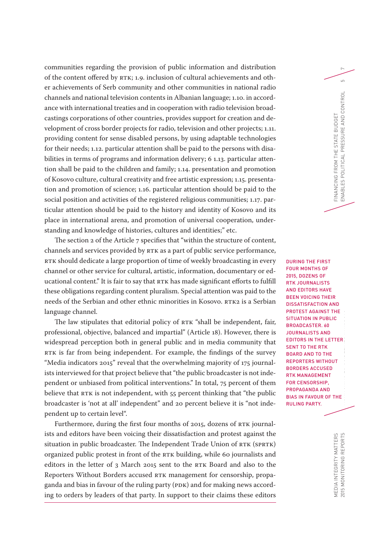communities regarding the provision of public information and distribution <sup>7</sup> of the content offered by RTK; 1.9. inclusion of cultural achievements and other achievements of Serb community and other communities in national radio channels and national television contents in Albanian language; 1.10. in accordance with international treaties and in cooperation with radio television broadcastings corporations of other countries, provides support for creation and development of cross border projects for radio, television and other projects; 1.11. providing content for sense disabled persons, by using adaptable technologies for their needs; 1.12. particular attention shall be paid to the persons with disabilities in terms of programs and information delivery; 6 1.13. particular attention shall be paid to the children and family; 1.14. presentation and promotion of Kosovo culture, cultural creativity and free artistic expression; 1.15. presentation and promotion of science; 1.16. particular attention should be paid to the social position and activities of the registered religious communities; 1.17. particular attention should be paid to the history and identity of Kosovo and its place in international arena, and promotion of universal cooperation, understanding and knowledge of histories, cultures and identities;" etc.

The section 2 of the Article 7 specifies that "within the structure of content, channels and services provided by RTK as a part of public service performance, RTK should dedicate a large proportion of time of weekly broadcasting in every channel or other service for cultural, artistic, information, documentary or educational content." It is fair to say that RTK has made significant efforts to fulfill these obligations regarding content pluralism. Special attention was paid to the needs of the Serbian and other ethnic minorities in Kosovo. RTK2 is a Serbian language channel.

The law stipulates that editorial policy of RTK "shall be independent, fair, professional, objective, balanced and impartial" (Article 18). However, there is widespread perception both in general public and in media community that RTK is far from being independent. For example, the findings of the survey "Media indicators 2015" reveal that the overwhelming majority of 175 journalists interviewed for that project believe that "the public broadcaster is not independent or unbiased from political interventions." In total, 75 percent of them believe that RTK is not independent, with 55 percent thinking that "the public broadcaster is 'not at all' independent" and 20 percent believe it is "not independent up to certain level".

Furthermore, during the first four months of 2015, dozens of RTK journalists and editors have been voicing their dissatisfaction and protest against the situation in public broadcaster. The Independent Trade Union of RTK (SPRTK) organized public protest in front of the RTK building, while 60 journalists and editors in the letter of 3 March 2015 sent to the RTK Board and also to the Reporters Without Borders accused RTK management for censorship, propaganda and bias in favour of the ruling party (PDK) and for making news according to orders by leaders of that party. In support to their claims these editors

2015 MONITORING REPORTS  $\blacksquare$ DURING THE FIRST FOUR MONTHS OF 2015, DOZENS OF RTK JOURNALISTS AND EDITORS HAVE BEEN VOICING THEIR DISSATISFACTION AND PROTEST AGAINST THE SITUATION IN PUBLIC BROADCASTER. 60 JOURNALISTS AND EDITORS IN THE LETTER SENT TO THE RTK BOARD AND TO THE REPORTERS WITHOUT BORDERS ACCUSED RTK MANAGEMENT FOR CENSORSHIP, PROPAGANDA AND BIAS IN FAVOUR OF THE RULING PARTY.

FINANCING FROM THE STATE BUDGET

FINANCING FROM THE STATE BUDGET

ENABLES POLITICAL PRESSURE AND CONTROL 5

ES POLITICAL PRESSURE AND CONTROL

ENABLE

 $\overline{5}$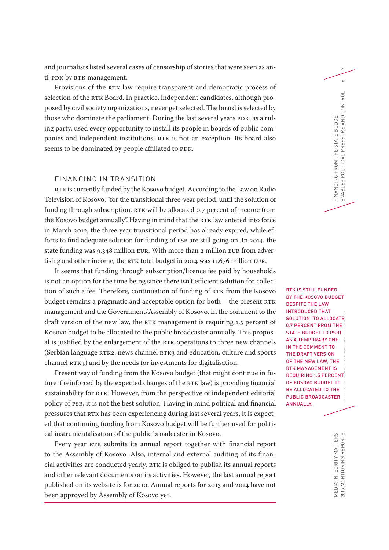and journalists listed several cases of censorship of stories that were seen as an- <sup>7</sup> ti-PDK by RTK management.

Provisions of the RTK law require transparent and democratic process of selection of the RTK Board. In practice, independent candidates, although proposed by civil society organizations, never get selected. The board is selected by those who dominate the parliament. During the last several years PDK, as a ruling party, used every opportunity to install its people in boards of public companies and independent institutions. RTK is not an exception. Its board also seems to be dominated by people affiliated to PDK.

#### FINANCING IN TRANSITION

RTK is currently funded by the Kosovo budget. According to the Law on Radio Television of Kosovo, "for the transitional three-year period, until the solution of funding through subscription, RTK will be allocated 0.7 percent of income from the Kosovo budget annually". Having in mind that the RTK law entered into force in March 2012, the three year transitional period has already expired, while efforts to find adequate solution for funding of PSB are still going on. In 2014, the state funding was 9.348 million EUR. With more than 2 million EUR from advertising and other income, the RTK total budget in 2014 was 11.676 million EUR.

It seems that funding through subscription/licence fee paid by households is not an option for the time being since there isn't efficient solution for collection of such a fee. Therefore, continuation of funding of RTK from the Kosovo budget remains a pragmatic and acceptable option for both – the present RTK management and the Government/Assembly of Kosovo. In the comment to the draft version of the new law, the RTK management is requiring 1.5 percent of Kosovo budget to be allocated to the public broadcaster annually. This proposal is justified by the enlargement of the RTK operations to three new channels (Serbian language RTK2, news channel RTK3 and education, culture and sports channel RTK4) and by the needs for investments for digitalisation.

Present way of funding from the Kosovo budget (that might continue in future if reinforced by the expected changes of the RTK law) is providing financial sustainability for RTK. However, from the perspective of independent editorial policy of PSB, it is not the best solution. Having in mind political and financial pressures that RTK has been experiencing during last several years, it is expected that continuing funding from Kosovo budget will be further used for political instrumentalisation of the public broadcaster in Kosovo.

Every year RTK submits its annual report together with financial report to the Assembly of Kosovo. Also, internal and external auditing of its financial activities are conducted yearly. RTK is obliged to publish its annual reports and other relevant documents on its activities. However, the last annual report published on its website is for 2010. Annual reports for 2013 and 2014 have not been approved by Assembly of Kosovo yet.

2015 MONITORING REPORTS MONITORING EU DE MONITORING EU GUIDELINES IN KOSOVOORS RTK IS STILL FUNDED BY THE KOSOVO BUDGET DESPITE THE LAW INTRODUCED THAT SOLUTION (TO ALLOCATE 0.7 PERCENT FROM THE STATE BUDGET TO PSB) AS A TEMPORARY ONE. IN THE COMMENT TO THE DRAFT VERSION OF THE NEW LAW, THE RTK MANAGEMENT IS REQUIRING 1.5 PERCENT OF KOSOVO BUDGET TO BE ALLOCATED TO THE PUBLIC BROADCASTER ANNUALLY.

 $\sim$